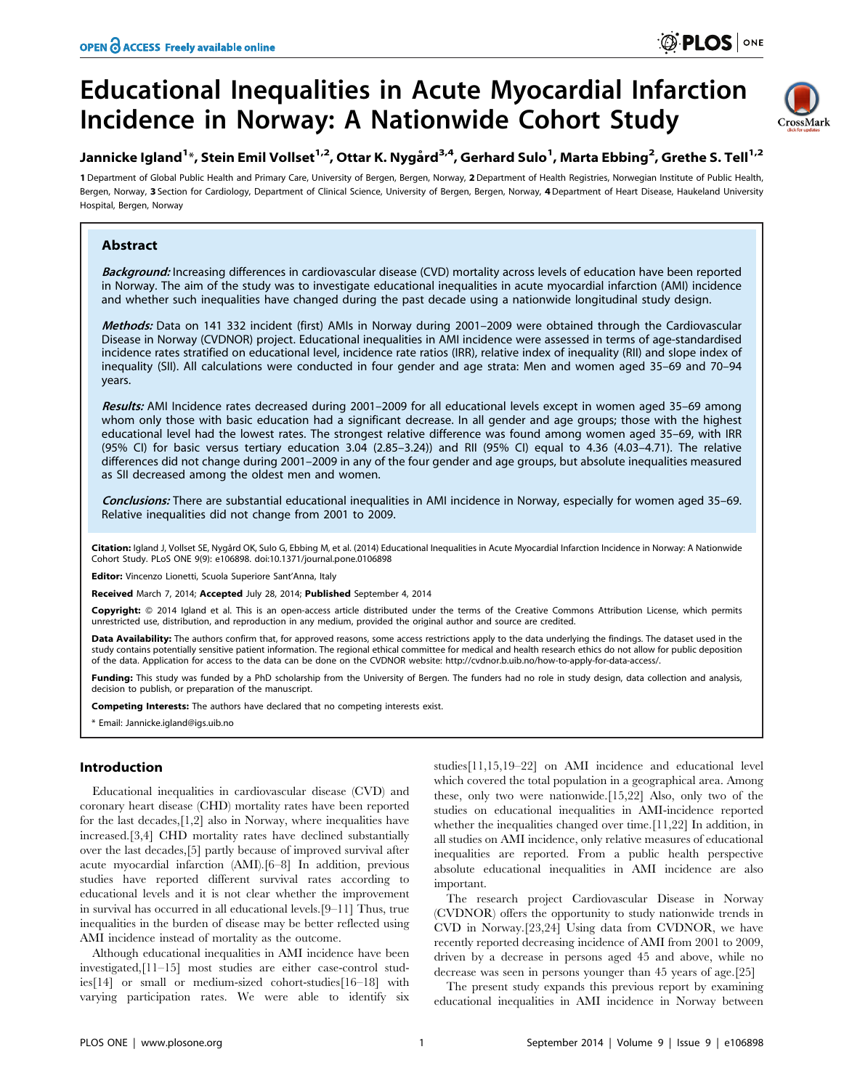# Educational Inequalities in Acute Myocardial Infarction Incidence in Norway: A Nationwide Cohort Study



# Jannicke Igland<sup>1</sup>\*, Stein Emil Vollset<sup>1,2</sup>, Ottar K. Nygård<sup>3,4</sup>, Gerhard Sulo<sup>1</sup>, Marta Ebbing<sup>2</sup>, Grethe S. Tell<sup>1,2</sup>

1 Department of Global Public Health and Primary Care, University of Bergen, Bergen, Norway, 2 Department of Health Registries, Norwegian Institute of Public Health, Bergen, Norway, 3 Section for Cardiology, Department of Clinical Science, University of Bergen, Bergen, Norway, 4 Department of Heart Disease, Haukeland University Hospital, Bergen, Norway

# Abstract

Background: Increasing differences in cardiovascular disease (CVD) mortality across levels of education have been reported in Norway. The aim of the study was to investigate educational inequalities in acute myocardial infarction (AMI) incidence and whether such inequalities have changed during the past decade using a nationwide longitudinal study design.

Methods: Data on 141 332 incident (first) AMIs in Norway during 2001–2009 were obtained through the Cardiovascular Disease in Norway (CVDNOR) project. Educational inequalities in AMI incidence were assessed in terms of age-standardised incidence rates stratified on educational level, incidence rate ratios (IRR), relative index of inequality (RII) and slope index of inequality (SII). All calculations were conducted in four gender and age strata: Men and women aged 35–69 and 70–94 years.

Results: AMI Incidence rates decreased during 2001-2009 for all educational levels except in women aged 35-69 among whom only those with basic education had a significant decrease. In all gender and age groups; those with the highest educational level had the lowest rates. The strongest relative difference was found among women aged 35–69, with IRR (95% CI) for basic versus tertiary education 3.04 (2.85–3.24)) and RII (95% CI) equal to 4.36 (4.03–4.71). The relative differences did not change during 2001–2009 in any of the four gender and age groups, but absolute inequalities measured as SII decreased among the oldest men and women.

Conclusions: There are substantial educational inequalities in AMI incidence in Norway, especially for women aged 35–69. Relative inequalities did not change from 2001 to 2009.

Citation: Igland J, Vollset SE, Nygård OK, Sulo G, Ebbing M, et al. (2014) Educational Inequalities in Acute Myocardial Infarction Incidence in Norway: A Nationwide Cohort Study. PLoS ONE 9(9): e106898. doi:10.1371/journal.pone.0106898

Editor: Vincenzo Lionetti, Scuola Superiore Sant'Anna, Italy

Received March 7, 2014; Accepted July 28, 2014; Published September 4, 2014

Copyright: © 2014 Igland et al. This is an open-access article distributed under the terms of the [Creative Commons Attribution License](http://creativecommons.org/licenses/by/4.0/), which permits unrestricted use, distribution, and reproduction in any medium, provided the original author and source are credited.

Data Availability: The authors confirm that, for approved reasons, some access restrictions apply to the data underlying the findings. The dataset used in the study contains potentially sensitive patient information. The regional ethical committee for medical and health research ethics do not allow for public deposition of the data. Application for access to the data can be done on the CVDNOR website:<http://cvdnor.b.uib.no/how-to-apply-for-data-access/>.

Funding: This study was funded by a PhD scholarship from the University of Bergen. The funders had no role in study design, data collection and analysis, decision to publish, or preparation of the manuscript.

Competing Interests: The authors have declared that no competing interests exist.

\* Email: Jannicke.igland@igs.uib.no

# Introduction

Educational inequalities in cardiovascular disease (CVD) and coronary heart disease (CHD) mortality rates have been reported for the last decades,[1,2] also in Norway, where inequalities have increased.[3,4] CHD mortality rates have declined substantially over the last decades,[5] partly because of improved survival after acute myocardial infarction (AMI).[6–8] In addition, previous studies have reported different survival rates according to educational levels and it is not clear whether the improvement in survival has occurred in all educational levels.[9–11] Thus, true inequalities in the burden of disease may be better reflected using AMI incidence instead of mortality as the outcome.

Although educational inequalities in AMI incidence have been investigated,[11–15] most studies are either case-control studies[14] or small or medium-sized cohort-studies[16–18] with varying participation rates. We were able to identify six

studies[11,15,19–22] on AMI incidence and educational level which covered the total population in a geographical area. Among these, only two were nationwide.[15,22] Also, only two of the studies on educational inequalities in AMI-incidence reported whether the inequalities changed over time.[11,22] In addition, in all studies on AMI incidence, only relative measures of educational inequalities are reported. From a public health perspective absolute educational inequalities in AMI incidence are also important.

The research project Cardiovascular Disease in Norway (CVDNOR) offers the opportunity to study nationwide trends in CVD in Norway.[23,24] Using data from CVDNOR, we have recently reported decreasing incidence of AMI from 2001 to 2009, driven by a decrease in persons aged 45 and above, while no decrease was seen in persons younger than 45 years of age.[25]

The present study expands this previous report by examining educational inequalities in AMI incidence in Norway between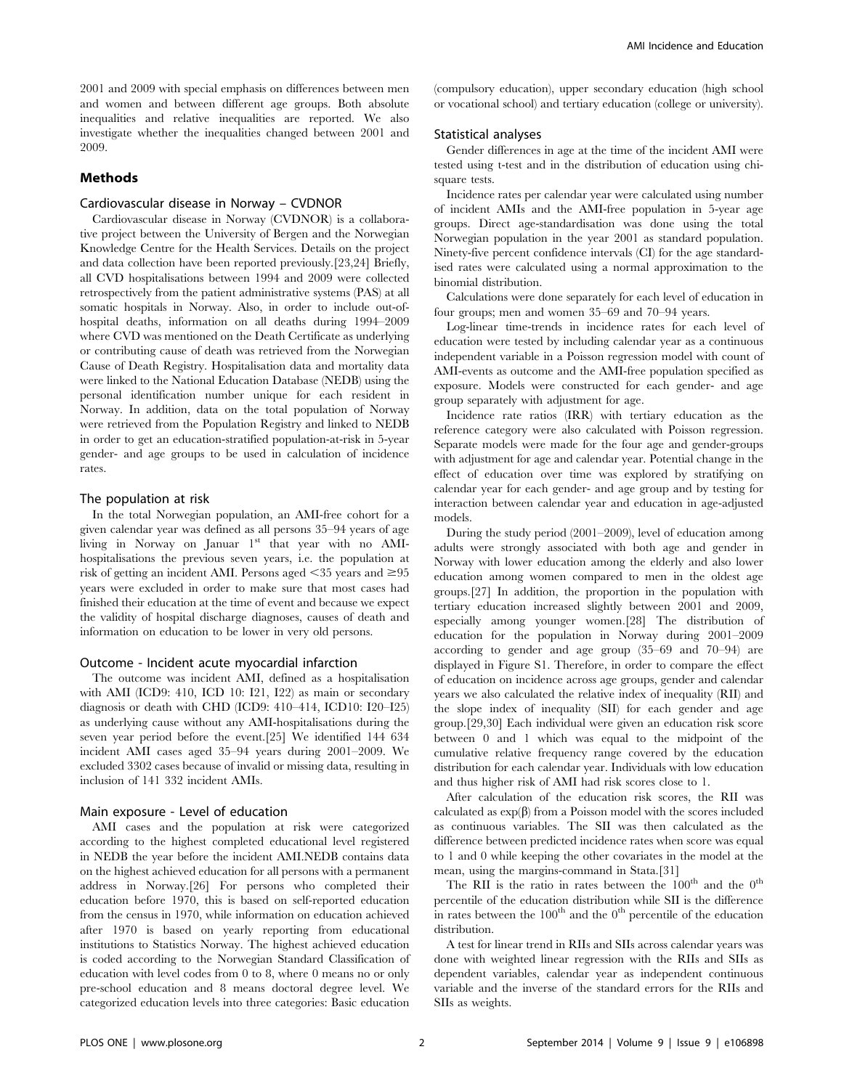2001 and 2009 with special emphasis on differences between men and women and between different age groups. Both absolute inequalities and relative inequalities are reported. We also investigate whether the inequalities changed between 2001 and 2009.

# Methods

## Cardiovascular disease in Norway – CVDNOR

Cardiovascular disease in Norway (CVDNOR) is a collaborative project between the University of Bergen and the Norwegian Knowledge Centre for the Health Services. Details on the project and data collection have been reported previously.[23,24] Briefly, all CVD hospitalisations between 1994 and 2009 were collected retrospectively from the patient administrative systems (PAS) at all somatic hospitals in Norway. Also, in order to include out-ofhospital deaths, information on all deaths during 1994–2009 where CVD was mentioned on the Death Certificate as underlying or contributing cause of death was retrieved from the Norwegian Cause of Death Registry. Hospitalisation data and mortality data were linked to the National Education Database (NEDB) using the personal identification number unique for each resident in Norway. In addition, data on the total population of Norway were retrieved from the Population Registry and linked to NEDB in order to get an education-stratified population-at-risk in 5-year gender- and age groups to be used in calculation of incidence rates.

#### The population at risk

In the total Norwegian population, an AMI-free cohort for a given calendar year was defined as all persons 35–94 years of age living in Norway on Januar  $1<sup>st</sup>$  that year with no AMIhospitalisations the previous seven years, i.e. the population at risk of getting an incident AMI. Persons aged  $\leq$  35 years and  $\geq$  95 years were excluded in order to make sure that most cases had finished their education at the time of event and because we expect the validity of hospital discharge diagnoses, causes of death and information on education to be lower in very old persons.

#### Outcome - Incident acute myocardial infarction

The outcome was incident AMI, defined as a hospitalisation with AMI (ICD9: 410, ICD 10: I21, I22) as main or secondary diagnosis or death with CHD (ICD9: 410–414, ICD10: I20–I25) as underlying cause without any AMI-hospitalisations during the seven year period before the event.[25] We identified 144 634 incident AMI cases aged 35–94 years during 2001–2009. We excluded 3302 cases because of invalid or missing data, resulting in inclusion of 141 332 incident AMIs.

#### Main exposure - Level of education

AMI cases and the population at risk were categorized according to the highest completed educational level registered in NEDB the year before the incident AMI.NEDB contains data on the highest achieved education for all persons with a permanent address in Norway.[26] For persons who completed their education before 1970, this is based on self-reported education from the census in 1970, while information on education achieved after 1970 is based on yearly reporting from educational institutions to Statistics Norway. The highest achieved education is coded according to the Norwegian Standard Classification of education with level codes from 0 to 8, where 0 means no or only pre-school education and 8 means doctoral degree level. We categorized education levels into three categories: Basic education (compulsory education), upper secondary education (high school or vocational school) and tertiary education (college or university).

#### Statistical analyses

Gender differences in age at the time of the incident AMI were tested using t-test and in the distribution of education using chisquare tests.

Incidence rates per calendar year were calculated using number of incident AMIs and the AMI-free population in 5-year age groups. Direct age-standardisation was done using the total Norwegian population in the year 2001 as standard population. Ninety-five percent confidence intervals (CI) for the age standardised rates were calculated using a normal approximation to the binomial distribution.

Calculations were done separately for each level of education in four groups; men and women 35–69 and 70–94 years.

Log-linear time-trends in incidence rates for each level of education were tested by including calendar year as a continuous independent variable in a Poisson regression model with count of AMI-events as outcome and the AMI-free population specified as exposure. Models were constructed for each gender- and age group separately with adjustment for age.

Incidence rate ratios (IRR) with tertiary education as the reference category were also calculated with Poisson regression. Separate models were made for the four age and gender-groups with adjustment for age and calendar year. Potential change in the effect of education over time was explored by stratifying on calendar year for each gender- and age group and by testing for interaction between calendar year and education in age-adjusted models.

During the study period (2001–2009), level of education among adults were strongly associated with both age and gender in Norway with lower education among the elderly and also lower education among women compared to men in the oldest age groups.[27] In addition, the proportion in the population with tertiary education increased slightly between 2001 and 2009, especially among younger women.[28] The distribution of education for the population in Norway during 2001–2009 according to gender and age group (35–69 and 70–94) are displayed in Figure S1. Therefore, in order to compare the effect of education on incidence across age groups, gender and calendar years we also calculated the relative index of inequality (RII) and the slope index of inequality (SII) for each gender and age group.[29,30] Each individual were given an education risk score between 0 and 1 which was equal to the midpoint of the cumulative relative frequency range covered by the education distribution for each calendar year. Individuals with low education and thus higher risk of AMI had risk scores close to 1.

After calculation of the education risk scores, the RII was calculated as  $\exp(\beta)$  from a Poisson model with the scores included as continuous variables. The SII was then calculated as the difference between predicted incidence rates when score was equal to 1 and 0 while keeping the other covariates in the model at the mean, using the margins-command in Stata.[31]

The RII is the ratio in rates between the  $100^{th}$  and the  $0^{th}$ percentile of the education distribution while SII is the difference in rates between the  $100<sup>th</sup>$  and the  $0<sup>th</sup>$  percentile of the education distribution.

A test for linear trend in RIIs and SIIs across calendar years was done with weighted linear regression with the RIIs and SIIs as dependent variables, calendar year as independent continuous variable and the inverse of the standard errors for the RIIs and SIIs as weights.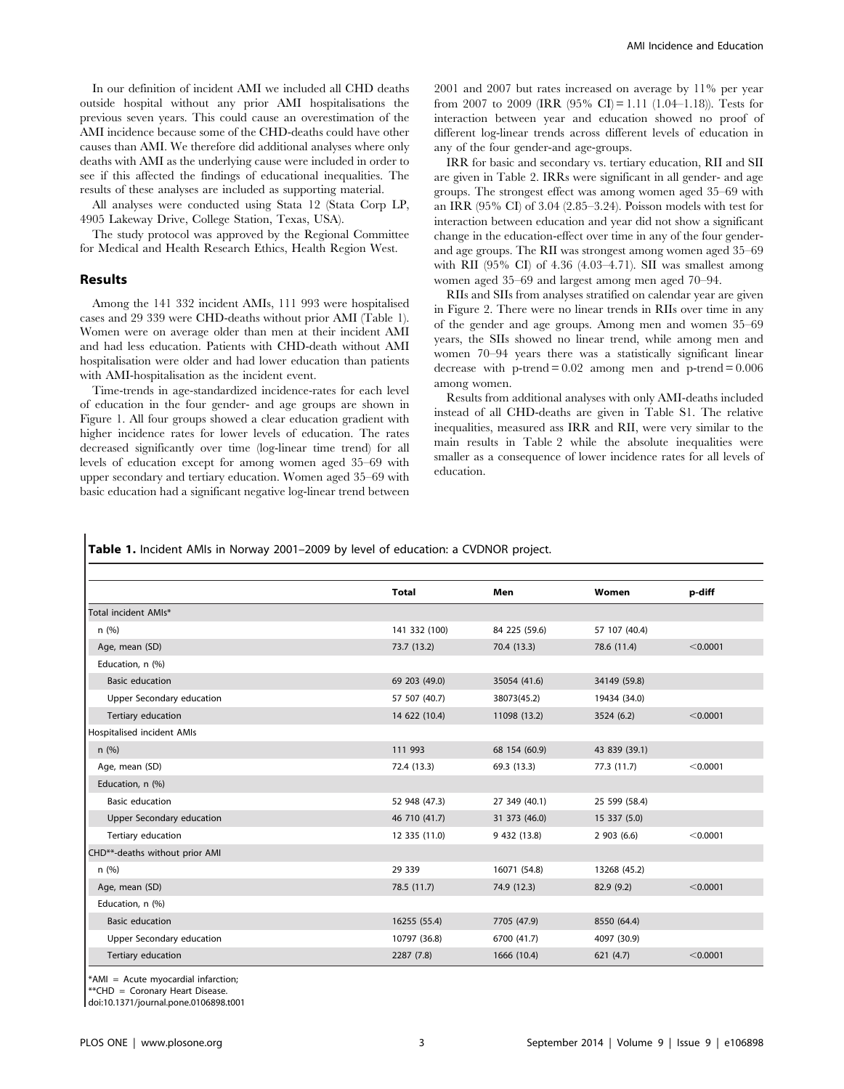In our definition of incident AMI we included all CHD deaths outside hospital without any prior AMI hospitalisations the previous seven years. This could cause an overestimation of the AMI incidence because some of the CHD-deaths could have other causes than AMI. We therefore did additional analyses where only deaths with AMI as the underlying cause were included in order to see if this affected the findings of educational inequalities. The results of these analyses are included as supporting material.

All analyses were conducted using Stata 12 (Stata Corp LP, 4905 Lakeway Drive, College Station, Texas, USA).

The study protocol was approved by the Regional Committee for Medical and Health Research Ethics, Health Region West.

#### Results

Among the 141 332 incident AMIs, 111 993 were hospitalised cases and 29 339 were CHD-deaths without prior AMI (Table 1). Women were on average older than men at their incident AMI and had less education. Patients with CHD-death without AMI hospitalisation were older and had lower education than patients with AMI-hospitalisation as the incident event.

Time-trends in age-standardized incidence-rates for each level of education in the four gender- and age groups are shown in Figure 1. All four groups showed a clear education gradient with higher incidence rates for lower levels of education. The rates decreased significantly over time (log-linear time trend) for all levels of education except for among women aged 35–69 with upper secondary and tertiary education. Women aged 35–69 with basic education had a significant negative log-linear trend between 2001 and 2007 but rates increased on average by 11% per year from 2007 to 2009 (IRR  $(95\% \text{ CI}) = 1.11 (1.04-1.18)$ ). Tests for interaction between year and education showed no proof of different log-linear trends across different levels of education in any of the four gender-and age-groups.

IRR for basic and secondary vs. tertiary education, RII and SII are given in Table 2. IRRs were significant in all gender- and age groups. The strongest effect was among women aged 35–69 with an IRR (95% CI) of 3.04 (2.85–3.24). Poisson models with test for interaction between education and year did not show a significant change in the education-effect over time in any of the four genderand age groups. The RII was strongest among women aged 35–69 with RII (95% CI) of 4.36 (4.03–4.71). SII was smallest among women aged 35–69 and largest among men aged 70–94.

RIIs and SIIs from analyses stratified on calendar year are given in Figure 2. There were no linear trends in RIIs over time in any of the gender and age groups. Among men and women 35–69 years, the SIIs showed no linear trend, while among men and women 70–94 years there was a statistically significant linear decrease with p-trend  $= 0.02$  among men and p-trend  $= 0.006$ among women.

Results from additional analyses with only AMI-deaths included instead of all CHD-deaths are given in Table S1. The relative inequalities, measured ass IRR and RII, were very similar to the main results in Table 2 while the absolute inequalities were smaller as a consequence of lower incidence rates for all levels of education.

#### Table 1. Incident AMIs in Norway 2001–2009 by level of education: a CVDNOR project.

|                                  | <b>Total</b>  | Men           | Women         | p-diff   |
|----------------------------------|---------------|---------------|---------------|----------|
|                                  |               |               |               |          |
| Total incident AMIs*             |               |               |               |          |
| n(%)                             | 141 332 (100) | 84 225 (59.6) | 57 107 (40.4) |          |
| Age, mean (SD)                   | 73.7 (13.2)   | 70.4 (13.3)   | 78.6 (11.4)   | < 0.0001 |
| Education, n (%)                 |               |               |               |          |
| <b>Basic education</b>           | 69 203 (49.0) | 35054 (41.6)  | 34149 (59.8)  |          |
| Upper Secondary education        | 57 507 (40.7) | 38073(45.2)   | 19434 (34.0)  |          |
| Tertiary education               | 14 622 (10.4) | 11098 (13.2)  | 3524 (6.2)    | < 0.0001 |
| Hospitalised incident AMIs       |               |               |               |          |
| n(%)                             | 111 993       | 68 154 (60.9) | 43 839 (39.1) |          |
| Age, mean (SD)                   | 72.4 (13.3)   | 69.3 (13.3)   | 77.3 (11.7)   | < 0.0001 |
| Education, n (%)                 |               |               |               |          |
| <b>Basic education</b>           | 52 948 (47.3) | 27 349 (40.1) | 25 599 (58.4) |          |
| <b>Upper Secondary education</b> | 46 710 (41.7) | 31 373 (46.0) | 15 337 (5.0)  |          |
| Tertiary education               | 12 335 (11.0) | 9 432 (13.8)  | 2903(6.6)     | < 0.0001 |
| CHD**-deaths without prior AMI   |               |               |               |          |
| n(%)                             | 29 339        | 16071 (54.8)  | 13268 (45.2)  |          |
| Age, mean (SD)                   | 78.5 (11.7)   | 74.9 (12.3)   | 82.9 (9.2)    | < 0.0001 |
| Education, n (%)                 |               |               |               |          |
| <b>Basic education</b>           | 16255 (55.4)  | 7705 (47.9)   | 8550 (64.4)   |          |
| Upper Secondary education        | 10797 (36.8)  | 6700 (41.7)   | 4097 (30.9)   |          |
| Tertiary education               | 2287 (7.8)    | 1666 (10.4)   | 621(4.7)      | < 0.0001 |

\*AMI = Acute myocardial infarction;

\*\*CHD = Coronary Heart Disease.

doi:10.1371/journal.pone.0106898.t001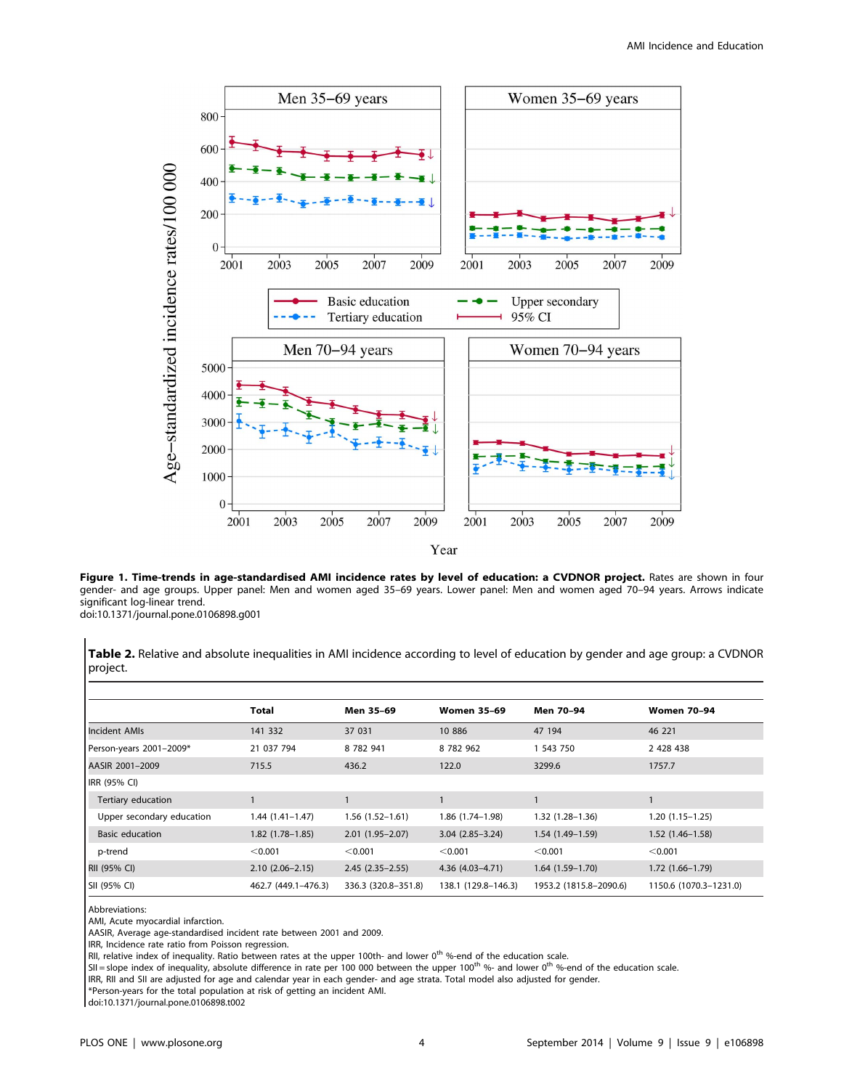

Year

Figure 1. Time-trends in age-standardised AMI incidence rates by level of education: a CVDNOR project. Rates are shown in four gender- and age groups. Upper panel: Men and women aged 35–69 years. Lower panel: Men and women aged 70–94 years. Arrows indicate significant log-linear trend.

doi:10.1371/journal.pone.0106898.g001

Table 2. Relative and absolute inequalities in AMI incidence according to level of education by gender and age group: a CVDNOR project.

|                           | Total               | Men 35-69           | <b>Women 35-69</b>  | Men 70-94              | <b>Women 70-94</b>     |
|---------------------------|---------------------|---------------------|---------------------|------------------------|------------------------|
| <b>Incident AMIs</b>      | 141 332             | 37 031              | 10 886              | 47 194                 | 46 221                 |
| Person-years 2001-2009*   | 21 037 794          | 8 782 941           | 8 782 962           | 1 543 750              | 2 428 438              |
| AASIR 2001-2009           | 715.5               | 436.2               | 122.0               | 3299.6                 | 1757.7                 |
| IRR (95% CI)              |                     |                     |                     |                        |                        |
| Tertiary education        |                     |                     |                     |                        | $\mathbf{1}$           |
| Upper secondary education | $1.44(1.41-1.47)$   | $1.56(1.52 - 1.61)$ | 1.86 (1.74-1.98)    | $1.32(1.28 - 1.36)$    | $1.20(1.15-1.25)$      |
| <b>Basic education</b>    | $1.82(1.78-1.85)$   | $2.01(1.95 - 2.07)$ | $3.04(2.85 - 3.24)$ | $1.54(1.49-1.59)$      | $1.52(1.46 - 1.58)$    |
| p-trend                   | < 0.001             | < 0.001             | < 0.001             | < 0.001                | < 0.001                |
| RII (95% CI)              | $2.10(2.06 - 2.15)$ | $2.45(2.35 - 2.55)$ | $4.36(4.03 - 4.71)$ | $1.64(1.59-1.70)$      | $1.72(1.66 - 1.79)$    |
| SII (95% CI)              | 462.7 (449.1-476.3) | 336.3 (320.8-351.8) | 138.1 (129.8-146.3) | 1953.2 (1815.8-2090.6) | 1150.6 (1070.3-1231.0) |

Abbreviations:

AMI, Acute myocardial infarction.

AASIR, Average age-standardised incident rate between 2001 and 2009.

IRR, Incidence rate ratio from Poisson regression.

RII, relative index of inequality. Ratio between rates at the upper 100th- and lower  $0^{th}$  %-end of the education scale.

 $SII = slope$  index of inequality, absolute difference in rate per 100 000 between the upper 100<sup>th</sup> %- and lower 0<sup>th</sup> %-end of the education scale.

IRR, RII and SII are adjusted for age and calendar year in each gender- and age strata. Total model also adjusted for gender.

\*Person-years for the total population at risk of getting an incident AMI.

doi:10.1371/journal.pone.0106898.t002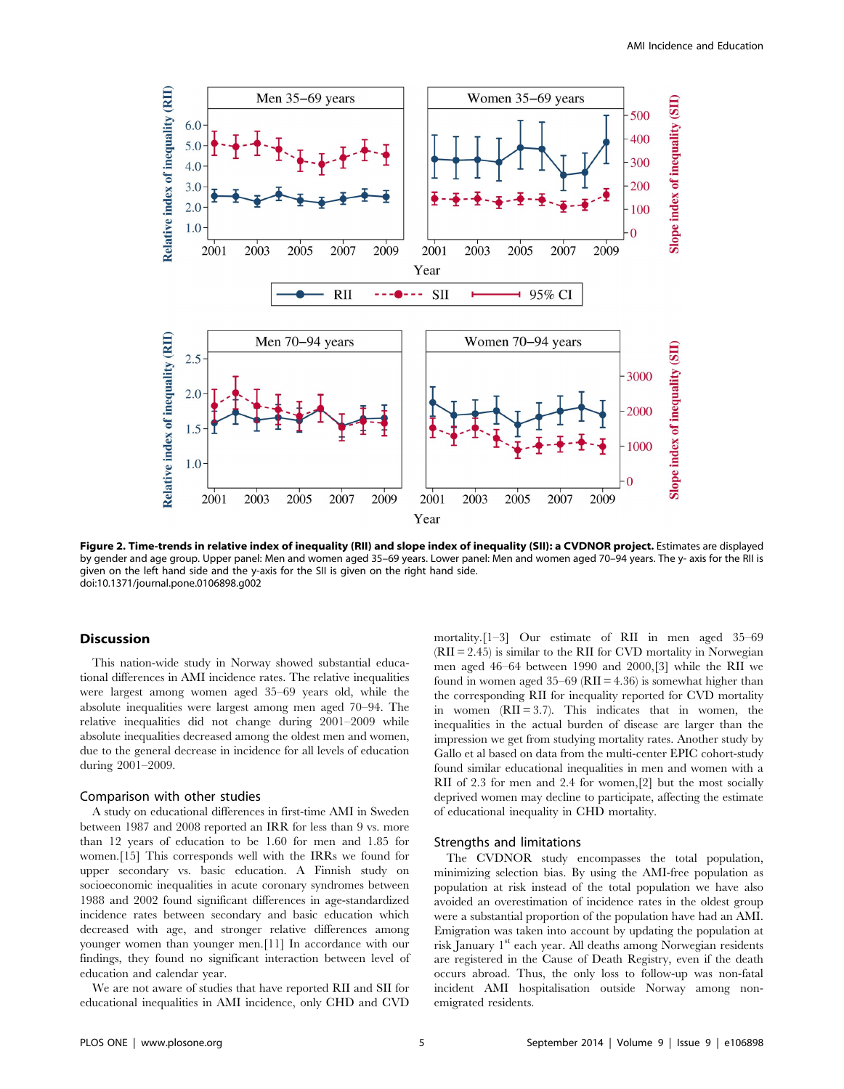

Figure 2. Time-trends in relative index of inequality (RII) and slope index of inequality (SII): a CVDNOR project. Estimates are displayed by gender and age group. Upper panel: Men and women aged 35–69 years. Lower panel: Men and women aged 70–94 years. The y- axis for the RII is given on the left hand side and the y-axis for the SII is given on the right hand side. doi:10.1371/journal.pone.0106898.g002

#### **Discussion**

This nation-wide study in Norway showed substantial educational differences in AMI incidence rates. The relative inequalities were largest among women aged 35–69 years old, while the absolute inequalities were largest among men aged 70–94. The relative inequalities did not change during 2001–2009 while absolute inequalities decreased among the oldest men and women, due to the general decrease in incidence for all levels of education during 2001–2009.

#### Comparison with other studies

A study on educational differences in first-time AMI in Sweden between 1987 and 2008 reported an IRR for less than 9 vs. more than 12 years of education to be 1.60 for men and 1.85 for women.[15] This corresponds well with the IRRs we found for upper secondary vs. basic education. A Finnish study on socioeconomic inequalities in acute coronary syndromes between 1988 and 2002 found significant differences in age-standardized incidence rates between secondary and basic education which decreased with age, and stronger relative differences among younger women than younger men.[11] In accordance with our findings, they found no significant interaction between level of education and calendar year.

We are not aware of studies that have reported RII and SII for educational inequalities in AMI incidence, only CHD and CVD mortality.[1–3] Our estimate of RII in men aged 35–69  $(RII = 2.45)$  is similar to the RII for CVD mortality in Norwegian men aged 46–64 between 1990 and 2000,[3] while the RII we found in women aged  $35-69$  (RII = 4.36) is somewhat higher than the corresponding RII for inequality reported for CVD mortality in women  $(RII = 3.7)$ . This indicates that in women, the inequalities in the actual burden of disease are larger than the impression we get from studying mortality rates. Another study by Gallo et al based on data from the multi-center EPIC cohort-study found similar educational inequalities in men and women with a RII of 2.3 for men and 2.4 for women,[2] but the most socially deprived women may decline to participate, affecting the estimate of educational inequality in CHD mortality.

#### Strengths and limitations

The CVDNOR study encompasses the total population, minimizing selection bias. By using the AMI-free population as population at risk instead of the total population we have also avoided an overestimation of incidence rates in the oldest group were a substantial proportion of the population have had an AMI. Emigration was taken into account by updating the population at risk January 1<sup>st</sup> each year. All deaths among Norwegian residents are registered in the Cause of Death Registry, even if the death occurs abroad. Thus, the only loss to follow-up was non-fatal incident AMI hospitalisation outside Norway among nonemigrated residents.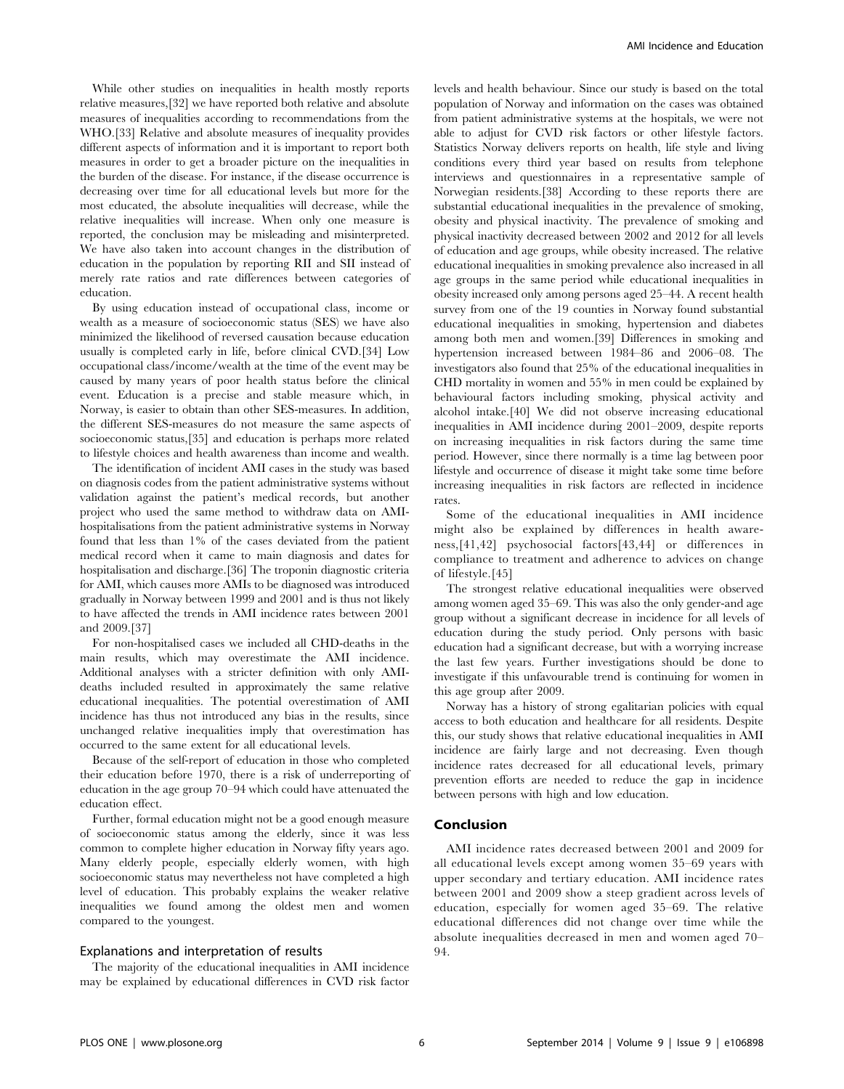While other studies on inequalities in health mostly reports relative measures,[32] we have reported both relative and absolute measures of inequalities according to recommendations from the WHO.[33] Relative and absolute measures of inequality provides different aspects of information and it is important to report both measures in order to get a broader picture on the inequalities in the burden of the disease. For instance, if the disease occurrence is decreasing over time for all educational levels but more for the most educated, the absolute inequalities will decrease, while the relative inequalities will increase. When only one measure is reported, the conclusion may be misleading and misinterpreted. We have also taken into account changes in the distribution of education in the population by reporting RII and SII instead of merely rate ratios and rate differences between categories of education.

By using education instead of occupational class, income or wealth as a measure of socioeconomic status (SES) we have also minimized the likelihood of reversed causation because education usually is completed early in life, before clinical CVD.[34] Low occupational class/income/wealth at the time of the event may be caused by many years of poor health status before the clinical event. Education is a precise and stable measure which, in Norway, is easier to obtain than other SES-measures. In addition, the different SES-measures do not measure the same aspects of socioeconomic status,[35] and education is perhaps more related to lifestyle choices and health awareness than income and wealth.

The identification of incident AMI cases in the study was based on diagnosis codes from the patient administrative systems without validation against the patient's medical records, but another project who used the same method to withdraw data on AMIhospitalisations from the patient administrative systems in Norway found that less than 1% of the cases deviated from the patient medical record when it came to main diagnosis and dates for hospitalisation and discharge.[36] The troponin diagnostic criteria for AMI, which causes more AMIs to be diagnosed was introduced gradually in Norway between 1999 and 2001 and is thus not likely to have affected the trends in AMI incidence rates between 2001 and 2009.[37]

For non-hospitalised cases we included all CHD-deaths in the main results, which may overestimate the AMI incidence. Additional analyses with a stricter definition with only AMIdeaths included resulted in approximately the same relative educational inequalities. The potential overestimation of AMI incidence has thus not introduced any bias in the results, since unchanged relative inequalities imply that overestimation has occurred to the same extent for all educational levels.

Because of the self-report of education in those who completed their education before 1970, there is a risk of underreporting of education in the age group 70–94 which could have attenuated the education effect.

Further, formal education might not be a good enough measure of socioeconomic status among the elderly, since it was less common to complete higher education in Norway fifty years ago. Many elderly people, especially elderly women, with high socioeconomic status may nevertheless not have completed a high level of education. This probably explains the weaker relative inequalities we found among the oldest men and women compared to the youngest.

#### Explanations and interpretation of results

The majority of the educational inequalities in AMI incidence may be explained by educational differences in CVD risk factor

levels and health behaviour. Since our study is based on the total population of Norway and information on the cases was obtained from patient administrative systems at the hospitals, we were not able to adjust for CVD risk factors or other lifestyle factors. Statistics Norway delivers reports on health, life style and living conditions every third year based on results from telephone interviews and questionnaires in a representative sample of Norwegian residents.[38] According to these reports there are substantial educational inequalities in the prevalence of smoking, obesity and physical inactivity. The prevalence of smoking and physical inactivity decreased between 2002 and 2012 for all levels of education and age groups, while obesity increased. The relative educational inequalities in smoking prevalence also increased in all age groups in the same period while educational inequalities in obesity increased only among persons aged 25–44. A recent health survey from one of the 19 counties in Norway found substantial educational inequalities in smoking, hypertension and diabetes among both men and women.[39] Differences in smoking and hypertension increased between 1984–86 and 2006–08. The investigators also found that 25% of the educational inequalities in CHD mortality in women and 55% in men could be explained by behavioural factors including smoking, physical activity and alcohol intake.[40] We did not observe increasing educational inequalities in AMI incidence during 2001–2009, despite reports on increasing inequalities in risk factors during the same time period. However, since there normally is a time lag between poor lifestyle and occurrence of disease it might take some time before increasing inequalities in risk factors are reflected in incidence rates.

Some of the educational inequalities in AMI incidence might also be explained by differences in health awareness,[41,42] psychosocial factors[43,44] or differences in compliance to treatment and adherence to advices on change of lifestyle.[45]

The strongest relative educational inequalities were observed among women aged 35–69. This was also the only gender-and age group without a significant decrease in incidence for all levels of education during the study period. Only persons with basic education had a significant decrease, but with a worrying increase the last few years. Further investigations should be done to investigate if this unfavourable trend is continuing for women in this age group after 2009.

Norway has a history of strong egalitarian policies with equal access to both education and healthcare for all residents. Despite this, our study shows that relative educational inequalities in AMI incidence are fairly large and not decreasing. Even though incidence rates decreased for all educational levels, primary prevention efforts are needed to reduce the gap in incidence between persons with high and low education.

# Conclusion

AMI incidence rates decreased between 2001 and 2009 for all educational levels except among women 35–69 years with upper secondary and tertiary education. AMI incidence rates between 2001 and 2009 show a steep gradient across levels of education, especially for women aged 35–69. The relative educational differences did not change over time while the absolute inequalities decreased in men and women aged 70– 94.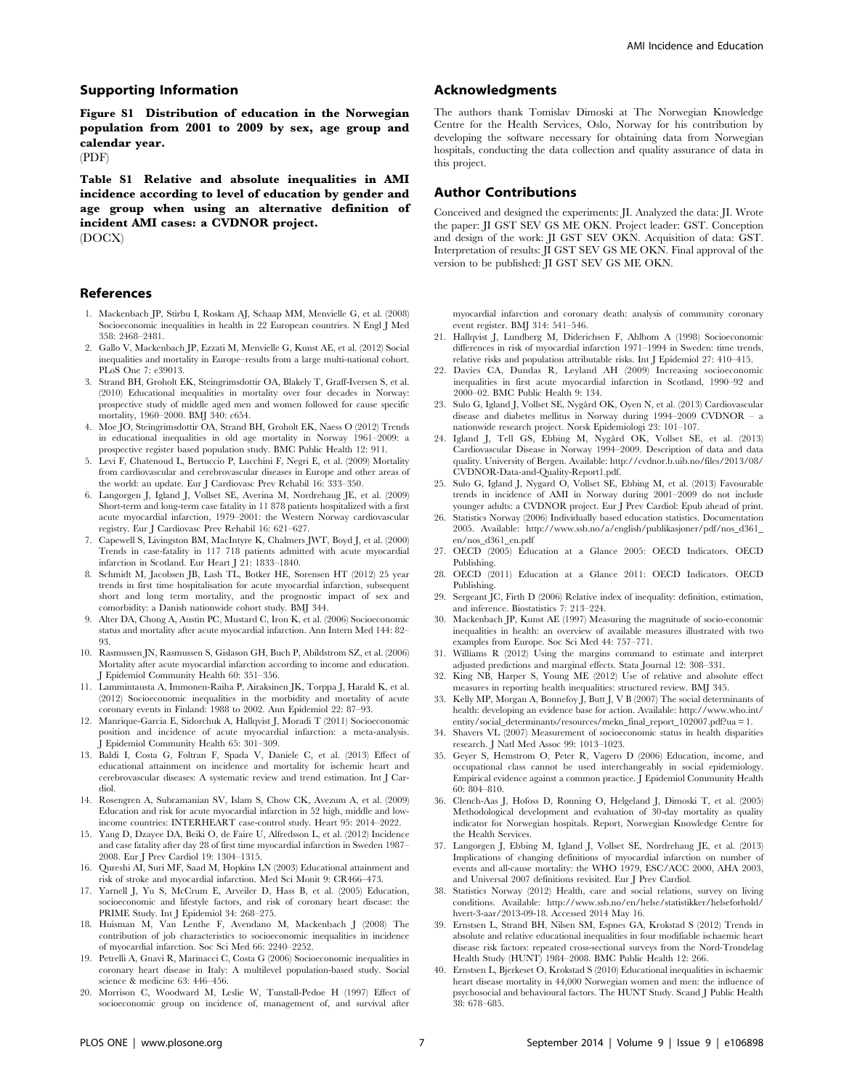#### Supporting Information

Figure S1 Distribution of education in the Norwegian population from 2001 to 2009 by sex, age group and calendar year.

(PDF)

Table S1 Relative and absolute inequalities in AMI incidence according to level of education by gender and age group when using an alternative definition of incident AMI cases: a CVDNOR project. (DOCX)

#### References

- 1. Mackenbach JP, Stirbu I, Roskam AJ, Schaap MM, Menvielle G, et al. (2008) Socioeconomic inequalities in health in 22 European countries. N Engl J Med 358: 2468–2481.
- 2. Gallo V, Mackenbach JP, Ezzati M, Menvielle G, Kunst AE, et al. (2012) Social inequalities and mortality in Europe–results from a large multi-national cohort. PLoS One 7: e39013.
- 3. Strand BH, Groholt EK, Steingrimsdottir OA, Blakely T, Graff-Iversen S, et al. (2010) Educational inequalities in mortality over four decades in Norway: prospective study of middle aged men and women followed for cause specific mortality, 1960–2000. BMJ 340: c654.
- 4. Moe JO, Steingrimsdottir OA, Strand BH, Groholt EK, Naess O (2012) Trends in educational inequalities in old age mortality in Norway 1961–2009: a prospective register based population study. BMC Public Health 12: 911.
- 5. Levi F, Chatenoud L, Bertuccio P, Lucchini F, Negri E, et al. (2009) Mortality from cardiovascular and cerebrovascular diseases in Europe and other areas of the world: an update. Eur J Cardiovasc Prev Rehabil 16: 333–350.
- 6. Langorgen J, Igland J, Vollset SE, Averina M, Nordrehaug JE, et al. (2009) Short-term and long-term case fatality in 11 878 patients hospitalized with a first acute myocardial infarction, 1979–2001: the Western Norway cardiovascular registry. Eur J Cardiovasc Prev Rehabil 16: 621–627.
- 7. Capewell S, Livingston BM, MacIntyre K, Chalmers JWT, Boyd J, et al. (2000) Trends in case-fatality in 117 718 patients admitted with acute myocardial infarction in Scotland. Eur Heart J 21: 1833–1840.
- 8. Schmidt M, Jacobsen JB, Lash TL, Botker HE, Sorensen HT (2012) 25 year trends in first time hospitalisation for acute myocardial infarction, subsequent short and long term mortality, and the prognostic impact of sex and comorbidity: a Danish nationwide cohort study. BMJ 344.
- 9. Alter DA, Chong A, Austin PC, Mustard C, Iron K, et al. (2006) Socioeconomic status and mortality after acute myocardial infarction. Ann Intern Med 144: 82– 93.
- 10. Rasmussen JN, Rasmussen S, Gislason GH, Buch P, Abildstrom SZ, et al. (2006) Mortality after acute myocardial infarction according to income and education. J Epidemiol Community Health 60: 351–356.
- 11. Lammintausta A, Immonen-Raiha P, Airaksinen JK, Torppa J, Harald K, et al. (2012) Socioeconomic inequalities in the morbidity and mortality of acute coronary events in Finland: 1988 to 2002. Ann Epidemiol 22: 87–93.
- 12. Manrique-Garcia E, Sidorchuk A, Hallqvist J, Moradi T (2011) Socioeconomic position and incidence of acute myocardial infarction: a meta-analysis. J Epidemiol Community Health 65: 301–309.
- 13. Baldi I, Costa G, Foltran F, Spada V, Daniele C, et al. (2013) Effect of educational attainment on incidence and mortality for ischemic heart and cerebrovascular diseases: A systematic review and trend estimation. Int J Cardiol.
- 14. Rosengren A, Subramanian SV, Islam S, Chow CK, Avezum A, et al. (2009) Education and risk for acute myocardial infarction in 52 high, middle and lowincome countries: INTERHEART case-control study. Heart 95: 2014–2022.
- 15. Yang D, Dzayee DA, Beiki O, de Faire U, Alfredsson L, et al. (2012) Incidence and case fatality after day 28 of first time myocardial infarction in Sweden 1987– 2008. Eur J Prev Cardiol 19: 1304–1315.
- 16. Qureshi AI, Suri MF, Saad M, Hopkins LN (2003) Educational attainment and risk of stroke and myocardial infarction. Med Sci Monit 9: CR466–473.
- 17. Yarnell J, Yu S, McCrum E, Arveiler D, Hass B, et al. (2005) Education, socioeconomic and lifestyle factors, and risk of coronary heart disease: the PRIME Study. Int J Epidemiol 34: 268–275.
- 18. Huisman M, Van Lenthe F, Avendano M, Mackenbach J (2008) The contribution of job characteristics to socioeconomic inequalities in incidence of myocardial infarction. Soc Sci Med 66: 2240–2252.
- 19. Petrelli A, Gnavi R, Marinacci C, Costa G (2006) Socioeconomic inequalities in coronary heart disease in Italy: A multilevel population-based study. Social science & medicine 63: 446–456.
- 20. Morrison C, Woodward M, Leslie W, Tunstall-Pedoe H (1997) Effect of socioeconomic group on incidence of, management of, and survival after

#### Acknowledgments

The authors thank Tomislav Dimoski at The Norwegian Knowledge Centre for the Health Services, Oslo, Norway for his contribution by developing the software necessary for obtaining data from Norwegian hospitals, conducting the data collection and quality assurance of data in this project.

## Author Contributions

Conceived and designed the experiments: JI. Analyzed the data: JI. Wrote the paper: JI GST SEV GS ME OKN. Project leader: GST. Conception and design of the work: JI GST SEV OKN. Acquisition of data: GST. Interpretation of results:  $\overline{II}$  GST SEV GS ME OKN. Final approval of the version to be published: JI GST SEV GS ME OKN.

myocardial infarction and coronary death: analysis of community coronary event register. BMJ 314: 541–546.

- 21. Hallqvist J, Lundberg M, Diderichsen F, Ahlbom A (1998) Socioeconomic differences in risk of myocardial infarction 1971–1994 in Sweden: time trends, relative risks and population attributable risks. Int J Epidemiol 27: 410–415.
- 22. Davies CA, Dundas R, Leyland AH (2009) Increasing socioeconomic inequalities in first acute myocardial infarction in Scotland, 1990–92 and 2000–02. BMC Public Health 9: 134.
- 23. Sulo G, Igland J, Vollset SE, Nygård OK, Oyen N, et al. (2013) Cardiovascular disease and diabetes mellitus in Norway during 1994–2009 CVDNOR – a nationwide research project. Norsk Epidemiologi 23: 101–107.
- 24. Igland J, Tell GS, Ebbing M, Nygård OK, Vollset SE, et al. (2013) Cardiovascular Disease in Norway 1994–2009. Description of data and data quality. University of Bergen. Available: [http://cvdnor.b.uib.no/files/2013/08/](http://cvdnor.b.uib.no/files/2013/08/CVDNOR-Data-and-Quality-Report1.pdf) [CVDNOR-Data-and-Quality-Report1.pdf](http://cvdnor.b.uib.no/files/2013/08/CVDNOR-Data-and-Quality-Report1.pdf).
- 25. Sulo G, Igland J, Nygard O, Vollset SE, Ebbing M, et al. (2013) Favourable trends in incidence of AMI in Norway during 2001–2009 do not include younger adults: a CVDNOR project. Eur J Prev Cardiol: Epub ahead of print.
- 26. Statistics Norway (2006) Individually based education statistics. Documentation 2005. Available: [http://www.ssb.no/a/english/publikasjoner/pdf/nos\\_d361\\_](http://www.ssb.no/a/english/publikasjoner/pdf/nos_d361_en/nos_d361_en.pdf) [en/nos\\_d361\\_en.pdf](http://www.ssb.no/a/english/publikasjoner/pdf/nos_d361_en/nos_d361_en.pdf)
- 27. OECD (2005) Education at a Glance 2005: OECD Indicators. OECD Publishing.
- 28. OECD (2011) Education at a Glance 2011: OECD Indicators. OECD Publishing.
- 29. Sergeant JC, Firth D (2006) Relative index of inequality: definition, estimation, and inference. Biostatistics 7: 213–224.
- 30. Mackenbach JP, Kunst AE (1997) Measuring the magnitude of socio-economic inequalities in health: an overview of available measures illustrated with two examples from Europe. Soc Sci Med 44: 757–771.
- 31. Williams R (2012) Using the margins command to estimate and interpret adjusted predictions and marginal effects. Stata Journal 12: 308–331.
- 32. King NB, Harper S, Young ME (2012) Use of relative and absolute effect measures in reporting health inequalities: structured review. BMJ 345.
- 33. Kelly MP, Morgan A, Bonnefoy J, Butt J, V B (2007) The social determinants of health: developing an evidence base for action. Available: [http://www.who.int/](http://www.who.int/entity/social_determinants/resources/mekn_final_report_102007.pdf?ua=1) [entity/social\\_determinants/resources/mekn\\_final\\_report\\_102007.pdf?ua = 1.](http://www.who.int/entity/social_determinants/resources/mekn_final_report_102007.pdf?ua=1)
- 34. Shavers VL (2007) Measurement of socioeconomic status in health disparities research. J Natl Med Assoc 99: 1013–1023.
- 35. Geyer S, Hemstrom O, Peter R, Vagero D (2006) Education, income, and occupational class cannot be used interchangeably in social epidemiology. Empirical evidence against a common practice. J Epidemiol Community Health 60: 804–810.
- 36. Clench-Aas J, Hofoss D, Rønning O, Helgeland J, Dimoski T, et al. (2005) Methodological development and evaluation of 30-day mortality as quality indicator for Norwegian hospitals. Report, Norwegian Knowledge Centre for the Health Services.
- 37. Langorgen J, Ebbing M, Igland J, Vollset SE, Nordrehaug JE, et al. (2013) Implications of changing definitions of myocardial infarction on number of events and all-cause mortality: the WHO 1979, ESC/ACC 2000, AHA 2003, and Universal 2007 definitions revisited. Eur J Prev Cardiol.
- 38. Statistics Norway (2012) Health, care and social relations, survey on living conditions. Available: [http://www.ssb.no/en/helse/statistikker/helseforhold/](http://www.ssb.no/en/helse/statistikker/helseforhold/hvert-3-aar/2013-09-18) [hvert-3-aar/2013-09-18](http://www.ssb.no/en/helse/statistikker/helseforhold/hvert-3-aar/2013-09-18). Accessed 2014 May 16.
- 39. Ernstsen L, Strand BH, Nilsen SM, Espnes GA, Krokstad S (2012) Trends in absolute and relative educational inequalities in four modifiable ischaemic heart disease risk factors: repeated cross-sectional surveys from the Nord-Trondelag Health Study (HUNT) 1984–2008. BMC Public Health 12: 266.
- 40. Ernstsen L, Bjerkeset O, Krokstad S (2010) Educational inequalities in ischaemic heart disease mortality in 44,000 Norwegian women and men: the influence of psychosocial and behavioural factors. The HUNT Study. Scand J Public Health 38: 678–685.